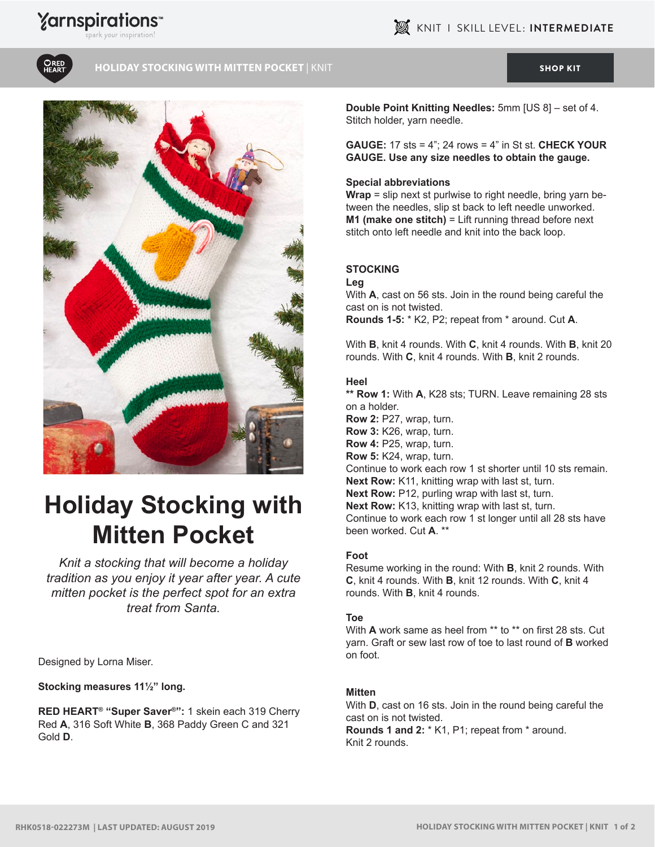## **Yarnspirations**





#### **HOLIDAY STOCKING WITH MITTEN POCKET | KNIT [SHOP KIT](https://www.yarnspirations.com/red-heart-holiday-stocking-with-mitten-pocket/RHK0518-022273M.html#utm_source=pdf-yarnspirations&utm_medium=referral&utm_campaign=pdf-RHK0518-022273M) SHOP KIT SHOP KIT**



# **Holiday Stocking with Mitten Pocket**

*Knit a stocking that will become a holiday tradition as you enjoy it year after year. A cute mitten pocket is the perfect spot for an extra treat from Santa.*

#### Designed by Lorna Miser.

**Stocking measures 11½" long.**

**RED HEART® "Super Saver®":** 1 skein each 319 Cherry Red **A**, 316 Soft White **B**, 368 Paddy Green C and 321 Gold **D**.

**Double Point Knitting Needles:** 5mm [US 8] – set of 4. Stitch holder, yarn needle.

**GAUGE:** 17 sts = 4"; 24 rows = 4" in St st. **CHECK YOUR GAUGE. Use any size needles to obtain the gauge.**

#### **Special abbreviations**

**Wrap** = slip next st purlwise to right needle, bring yarn between the needles, slip st back to left needle unworked. **M1 (make one stitch)** = Lift running thread before next stitch onto left needle and knit into the back loop.

### **STOCKiNG**

#### **Leg**

With **A**, cast on 56 sts. Join in the round being careful the cast on is not twisted. **Rounds 1-5:** \* K2, P2; repeat from \* around. Cut **A**.

With **B**, knit 4 rounds. With **C**, knit 4 rounds. With **B**, knit 20 rounds. With **C**, knit 4 rounds. With **B**, knit 2 rounds.

#### **Heel**

**\*\* Row 1:** With **A**, K28 sts; TURN. Leave remaining 28 sts on a holder.

**Row 2:** P27, wrap, turn.

**Row 3:** K26, wrap, turn. **Row 4:** P25, wrap, turn.

**Row 5:** K24, wrap, turn.

Continue to work each row 1 st shorter until 10 sts remain.

**Next Row:** K11, knitting wrap with last st, turn.

**Next Row:** P12, purling wrap with last st, turn.

**Next Row:** K13, knitting wrap with last st, turn.

Continue to work each row 1 st longer until all 28 sts have been worked. Cut **A**. \*\*

#### **Foot**

Resume working in the round: With **B**, knit 2 rounds. With **C**, knit 4 rounds. With **B**, knit 12 rounds. With **C**, knit 4 rounds. With **B**, knit 4 rounds.

#### **Toe**

With **A** work same as heel from \*\* to \*\* on first 28 sts. Cut yarn. Graft or sew last row of toe to last round of **B** worked on foot.

#### **Mitten**

With **D**, cast on 16 sts. Join in the round being careful the cast on is not twisted.

**Rounds 1 and 2:** \* K1, P1; repeat from \* around. Knit 2 rounds.